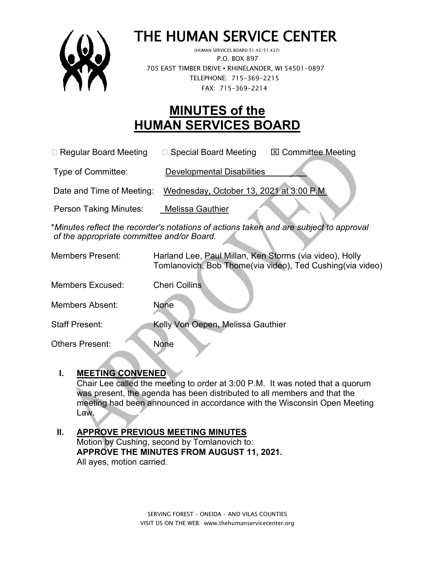

# THE HUMAN SERVICE CENTER (HUMAN SERVICES BOARD 51.42/51.437)

 P.O. BOX 897 705 EAST TIMBER DRIVE **•** RHINELANDER, WI 54501-0897 TELEPHONE: 715-369-2215 FAX: 715-369-2214

# **MINUTES of the HUMAN SERVICES BOARD**

□ Regular Board Meeting □ Special Board Meeting  $\Box$  Committee Meeting

Type of Committee: Developmental Disabilities

Date and Time of Meeting: Wednesday, October 13, 2021 at 3:00 P.M.

Person Taking Minutes: Melissa Gauthier

\**Minutes reflect the recorder's notations of actions taken and are subject to approval of the appropriate committee and/or Board.*

| <b>Members Present:</b> | Harland Lee, Paul Millan, Ken Storms (via video), Holly   |
|-------------------------|-----------------------------------------------------------|
|                         | Tomlanovich, Bob Thome(via video), Ted Cushing(via video) |
| <b>Members Excused:</b> | <b>Cheri Collins</b>                                      |

Members Absent: None

Staff Present: Kelly Von Oepen, Melissa Gauthier

Others Present: None

### **I. MEETING CONVENED**

Chair Lee called the meeting to order at 3:00 P.M. It was noted that a quorum was present, the agenda has been distributed to all members and that the meeting had been announced in accordance with the Wisconsin Open Meeting Law.

#### **II. APPROVE PREVIOUS MEETING MINUTES**  Motion by Cushing, second by Tomlanovich to: **APPROVE THE MINUTES FROM AUGUST 11, 2021.** All ayes, motion carried.

SERVING FOREST – ONEIDA – AND VILAS COUNTIES VISIT US ON THE WEB: www.thehumanservicecenter.org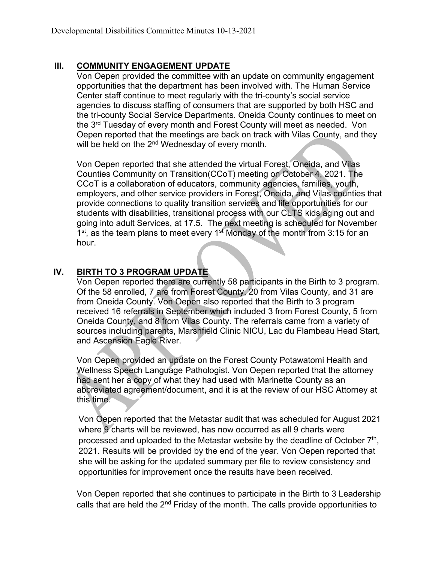### **III. COMMUNITY ENGAGEMENT UPDATE**

Von Oepen provided the committee with an update on community engagement opportunities that the department has been involved with. The Human Service Center staff continue to meet regularly with the tri-county's social service agencies to discuss staffing of consumers that are supported by both HSC and the tri-county Social Service Departments. Oneida County continues to meet on the 3<sup>rd</sup> Tuesday of every month and Forest County will meet as needed. Von Oepen reported that the meetings are back on track with Vilas County, and they will be held on the 2<sup>nd</sup> Wednesday of every month.

Von Oepen reported that she attended the virtual Forest, Oneida, and Vilas Counties Community on Transition(CCoT) meeting on October 4, 2021. The CCoT is a collaboration of educators, community agencies, families, youth, employers, and other service providers in Forest, Oneida, and Vilas counties that provide connections to quality transition services and life opportunities for our students with disabilities, transitional process with our CLTS kids aging out and going into adult Services, at 17.5. The next meeting is scheduled for November  $1<sup>st</sup>$ , as the team plans to meet every  $1<sup>st</sup>$  Monday of the month from 3:15 for an hour.

# **IV. BIRTH TO 3 PROGRAM UPDATE**

Von Oepen reported there are currently 58 participants in the Birth to 3 program. Of the 58 enrolled, 7 are from Forest County, 20 from Vilas County, and 31 are from Oneida County. Von Oepen also reported that the Birth to 3 program received 16 referrals in September which included 3 from Forest County, 5 from Oneida County, and 8 from Vilas County. The referrals came from a variety of sources including parents, Marshfield Clinic NICU, Lac du Flambeau Head Start, and Ascension Eagle River.

Von Oepen provided an update on the Forest County Potawatomi Health and Wellness Speech Language Pathologist. Von Oepen reported that the attorney had sent her a copy of what they had used with Marinette County as an abbreviated agreement/document, and it is at the review of our HSC Attorney at this time.

Von Oepen reported that the Metastar audit that was scheduled for August 2021 where 9 charts will be reviewed, has now occurred as all 9 charts were processed and uploaded to the Metastar website by the deadline of October  $7<sup>th</sup>$ , 2021. Results will be provided by the end of the year. Von Oepen reported that she will be asking for the updated summary per file to review consistency and opportunities for improvement once the results have been received.

Von Oepen reported that she continues to participate in the Birth to 3 Leadership calls that are held the 2<sup>nd</sup> Friday of the month. The calls provide opportunities to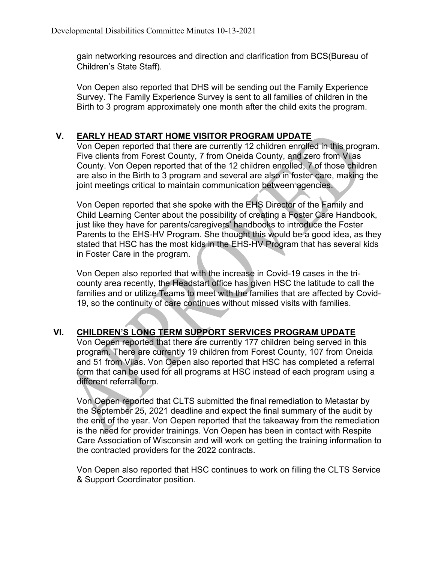gain networking resources and direction and clarification from BCS(Bureau of Children's State Staff).

Von Oepen also reported that DHS will be sending out the Family Experience Survey. The Family Experience Survey is sent to all families of children in the Birth to 3 program approximately one month after the child exits the program.

# **V. EARLY HEAD START HOME VISITOR PROGRAM UPDATE**

Von Oepen reported that there are currently 12 children enrolled in this program. Five clients from Forest County, 7 from Oneida County, and zero from Vilas County. Von Oepen reported that of the 12 children enrolled, 7 of those children are also in the Birth to 3 program and several are also in foster care, making the joint meetings critical to maintain communication between agencies.

Von Oepen reported that she spoke with the EHS Director of the Family and Child Learning Center about the possibility of creating a Foster Care Handbook, just like they have for parents/caregivers' handbooks to introduce the Foster Parents to the EHS-HV Program. She thought this would be a good idea, as they stated that HSC has the most kids in the EHS-HV Program that has several kids in Foster Care in the program.

Von Oepen also reported that with the increase in Covid-19 cases in the tricounty area recently, the Headstart office has given HSC the latitude to call the families and or utilize Teams to meet with the families that are affected by Covid-19, so the continuity of care continues without missed visits with families.

# **VI. CHILDREN'S LONG TERM SUPPORT SERVICES PROGRAM UPDATE**

Von Oepen reported that there are currently 177 children being served in this program. There are currently 19 children from Forest County, 107 from Oneida and 51 from Vilas. Von Oepen also reported that HSC has completed a referral form that can be used for all programs at HSC instead of each program using a different referral form.

Von Oepen reported that CLTS submitted the final remediation to Metastar by the September 25, 2021 deadline and expect the final summary of the audit by the end of the year. Von Oepen reported that the takeaway from the remediation is the need for provider trainings. Von Oepen has been in contact with Respite Care Association of Wisconsin and will work on getting the training information to the contracted providers for the 2022 contracts.

Von Oepen also reported that HSC continues to work on filling the CLTS Service & Support Coordinator position.